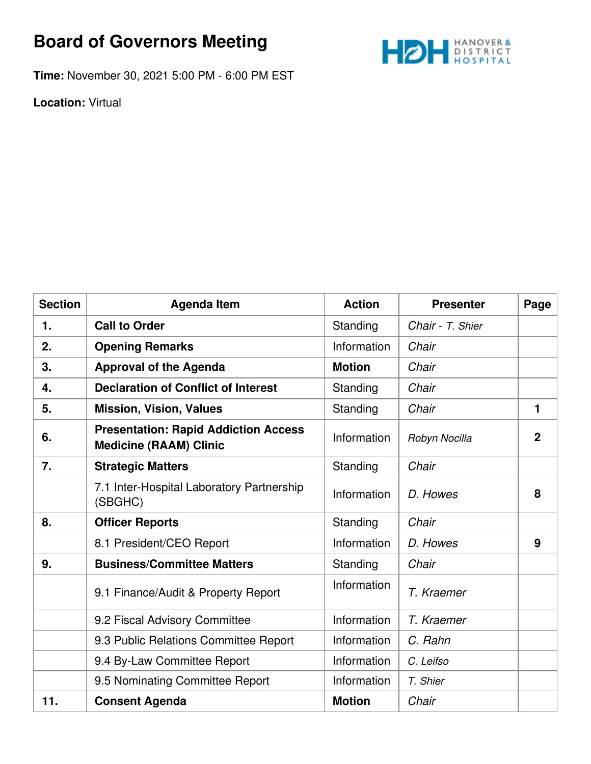## **Board of Governors Meeting**



**Time:** November 30, 2021 5:00 PM - 6:00 PM EST

**Location:** Virtual

| <b>Section</b> | <b>Agenda Item</b>                                                           | <b>Action</b> | <b>Presenter</b> | Page           |
|----------------|------------------------------------------------------------------------------|---------------|------------------|----------------|
| 1.             | <b>Call to Order</b>                                                         | Standing      | Chair - T. Shier |                |
| 2.             | <b>Opening Remarks</b>                                                       | Information   | Chair            |                |
| 3.             | <b>Approval of the Agenda</b>                                                | <b>Motion</b> | Chair            |                |
| 4.             | <b>Declaration of Conflict of Interest</b>                                   | Standing      | Chair            |                |
| 5.             | <b>Mission, Vision, Values</b>                                               | Standing      | Chair            | 1              |
| 6.             | <b>Presentation: Rapid Addiction Access</b><br><b>Medicine (RAAM) Clinic</b> | Information   | Robyn Nocilla    | $\overline{2}$ |
| 7.             | <b>Strategic Matters</b>                                                     | Standing      | Chair            |                |
|                | 7.1 Inter-Hospital Laboratory Partnership<br>(SBGHC)                         | Information   | D. Howes         | 8              |
| 8.             | <b>Officer Reports</b>                                                       | Standing      | Chair            |                |
|                | 8.1 President/CEO Report                                                     | Information   | D. Howes         | 9              |
| 9.             | <b>Business/Committee Matters</b>                                            | Standing      | Chair            |                |
|                | 9.1 Finance/Audit & Property Report                                          | Information   | T. Kraemer       |                |
|                | 9.2 Fiscal Advisory Committee                                                | Information   | T. Kraemer       |                |
|                | 9.3 Public Relations Committee Report                                        | Information   | C. Rahn          |                |
|                | 9.4 By-Law Committee Report                                                  | Information   | C. Leifso        |                |
|                | 9.5 Nominating Committee Report                                              | Information   | T. Shier         |                |
| 11.            | <b>Consent Agenda</b>                                                        | <b>Motion</b> | Chair            |                |